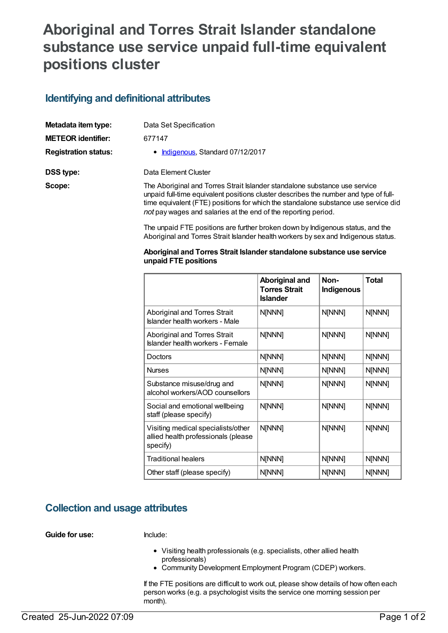# **Aboriginal and Torres Strait Islander standalone substance use service unpaid full-time equivalent positions cluster**

### **Identifying and definitional attributes**

| Metadata item type:         | Data Set Specification                                                                                                                                                                                                                                                                                                     |
|-----------------------------|----------------------------------------------------------------------------------------------------------------------------------------------------------------------------------------------------------------------------------------------------------------------------------------------------------------------------|
| <b>METEOR identifier:</b>   | 677147                                                                                                                                                                                                                                                                                                                     |
| <b>Registration status:</b> | • Indigenous, Standard 07/12/2017                                                                                                                                                                                                                                                                                          |
| DSS type:                   | Data Element Cluster                                                                                                                                                                                                                                                                                                       |
| Scope:                      | The Aboriginal and Torres Strait Islander standalone substance use service<br>unpaid full-time equivalent positions cluster describes the number and type of full-<br>time equivalent (FTE) positions for which the standalone substance use service did<br>not pay wages and salaries at the end of the reporting period. |

The unpaid FTE positions are further broken down by Indigenous status, and the Aboriginal and Torres Strait Islander health workers by sex and Indigenous status.

#### **Aboriginal and Torres Strait Islander standalone substance use service unpaid FTE positions**

|                                                                                       | Aboriginal and<br><b>Torres Strait</b><br><b>Islander</b> | Non-<br>Indigenous | <b>Total</b> |
|---------------------------------------------------------------------------------------|-----------------------------------------------------------|--------------------|--------------|
| Aboriginal and Torres Strait<br>Islander health workers - Male                        | N[NNN]                                                    | N[NNN]             | N[NNN]       |
| Aboriginal and Torres Strait<br>Islander health workers - Female                      | N[NNN]                                                    | N[NNN]             | N[NNN]       |
| Doctors                                                                               | N[NNN]                                                    | N[NNN]             | N[NNN]       |
| <b>Nurses</b>                                                                         | N[NNN]                                                    | N[NNN]             | N[NNN]       |
| Substance misuse/drug and<br>alcohol workers/AOD counsellors                          | N[NNN]                                                    | N[NNN]             | N[NNN]       |
| Social and emotional wellbeing<br>staff (please specify)                              | N[NNN]                                                    | N[NNN]             | N[NNN]       |
| Visiting medical specialists/other<br>allied health professionals (please<br>specify) | N[NNN]                                                    | N[NNN]             | N[NNN]       |
| <b>Traditional healers</b>                                                            | N[NNN]                                                    | N[NNN]             | N[NNN]       |
| Other staff (please specify)                                                          | N[NNN]                                                    | N[NNN]             | N[NNN]       |

#### **Collection and usage attributes**

**Guide for use:** Include:

- Visiting health professionals (e.g. specialists, other allied health professionals)
- Community Development Employment Program (CDEP) workers.

If the FTE positions are difficult to work out, please show details of how often each person works (e.g. a psychologist visits the service one morning session per month).